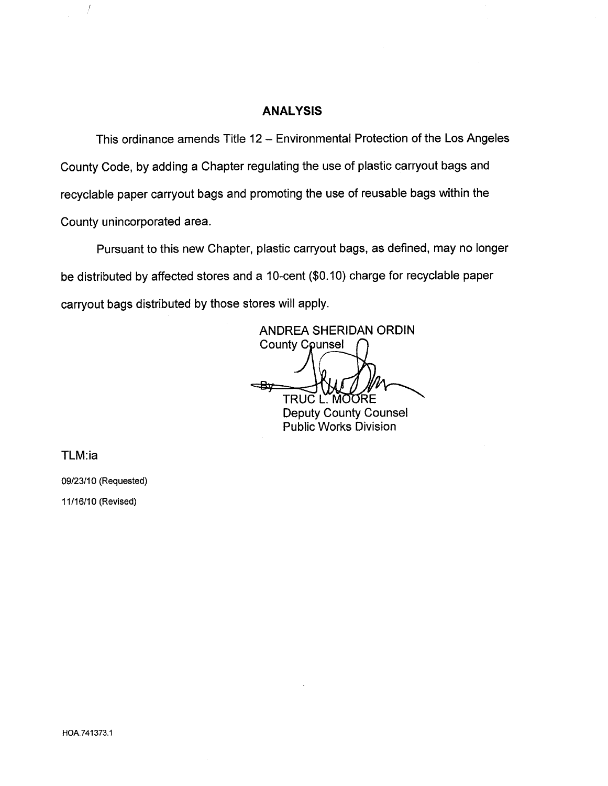## **ANALYSIS**

This ordinance amends Title 12 - Environmental Protection of the Los Angeles County Code, by adding a Chapter regulating the use of plastic carryout bags and recyclable paper carryout bags and promoting the use of reusable bags within the County unincorporated area.

Pursuant to this new Chapter, plastic carryout bags, as defined, may no longer be distributed by affected stores and a 10-cent (\$0.10) charge for recyclable paper carryout bags distributed by those stores will apply.

ANDREA SHERIDAN GRDIN **County Counsel** <del>⊲Bx</del> TRUC L. MOORE Deputy County Counsel

Public Works Division

TLM:ia

 $\int$ 

09/23/10 (Requested) 11/16/10 (Revised)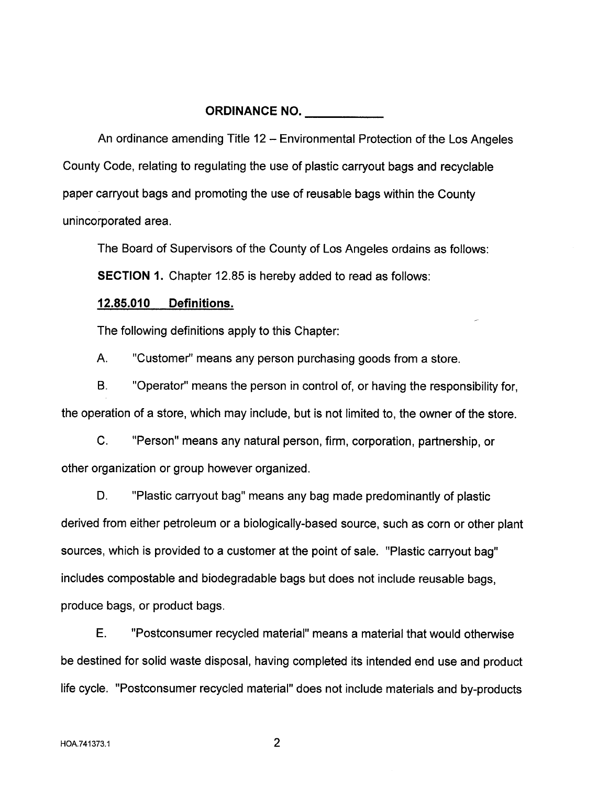# ORDINANCE NO.

An ordinance amending Title 12 - Environmental Protection of the Los Angeles County Code, relating to regulating the use of plastic carryout bags and recyclable paper carryout bags and promoting the use of reusable bags within the County unincorporated area.

The Board of Supervisors of the County of Los Angeles ordains as follows:

SECTION 1. Chapter 12.85 is hereby added to read as follows:

## 12.85.010 Definitions.

The following definitions apply to this Chapter:

A. "Customer" means any person purchasing goods from a store.

B. "Operator" means the person in control of, or having the responsibility for, the operation of a store, which may include, but is not limited to, the owner of the store.

C. "Person" means any natural person, firm, corporation, partnership, or other organization or group however organized.

D. "Plastic carryout bag" means any bag made predominantly of plastic derived from either petroleum or a biologically-based source, such as corn or other plant sources, which is provided to a customer at the point of sale. "Plastic carryout bag" includes compostable and biodegradable bags but does not include reusable bags, produce bags, or product bags.

E. "Postconsumer recycled material" means a material that would otherwise be destined for solid waste disposal, having completed its intended end use and product life cycle. "Postconsumer recycled material" does not include materials and by-products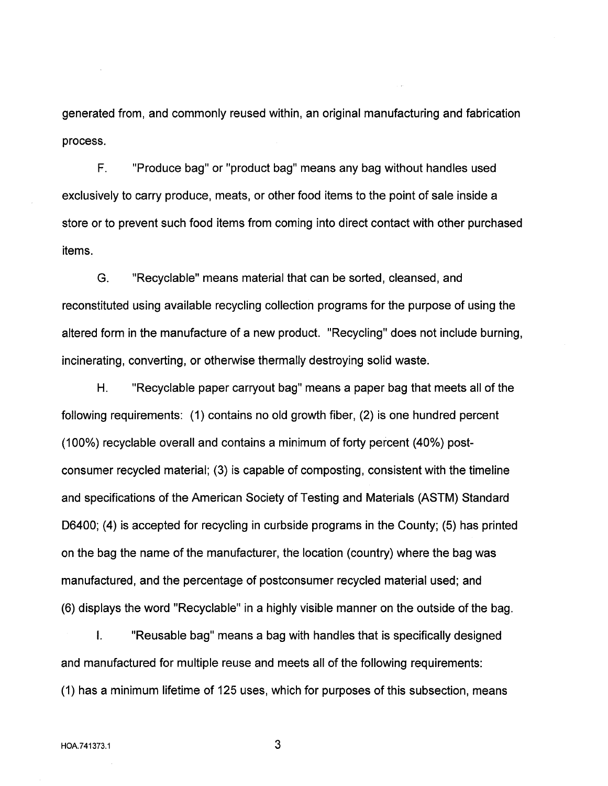generated from, and commonly reused within, an original manufacturing and fabrication process.

F. "Produce bag" or "product bag" means any bag without handles used exclusively to carry produce, meats, or other food items to the point of sale inside a store or to prevent such food items from coming into direct contact with other purchased items.

G. "Recyclable" means material that can be sorted, cleansed, and reconstituted using available recycling collection programs for the purpose of using the altered form in the manufacture of a new product. "Recycling" does not include burning, incinerating, converting, or otherwise thermally destroying solid waste.

H. "Recyclable paper carryout bag" means a paper bag that meets all of the following requirements: (1) contains no old growth fiber, (2) is one hundred percent (100%) recyclable overall and contains a minimum of forty percent (40%) postconsumer recycled material; (3) is capable of composting, consistent with the timeline and specifications of the American Society of Testing and Materials (ASTM) Standard D6400; (4) is accepted for recycling in curbside programs in the County; (5) has printed on the bag the name of the manufacturer, the location (country) where the bag was manufactured, and the percentage of postconsumer recycled material used; and (6) displays the word "Recyclable" in a highly visible manner on the outside of the bag.

i. "Reusable bag" means a bag with handles that is specifically designed and manufactured for multiple reuse and meets all of the following requirements: (1) has a minimum lifetime of 125 uses, which for purposes of this subsection, means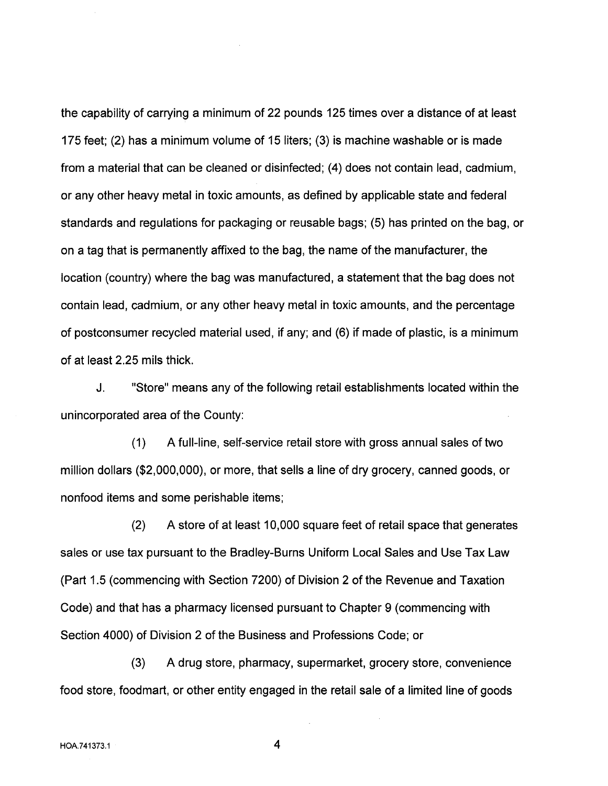the capability of carrying a minimum of 22 pounds 125 times over a distance of at least 175 feet; (2) has a minimum volume of 15 liters; (3) is machine washable or is made from a material that can be cleaned or disinfected; (4) does not contain lead, cadmium, or any other heavy metal in toxic amounts, as defined by applicable state and federal standards and regulations for packaging or reusable bags; (5) has printed on the bag, or on a tag that is permanently affixed to the bag, the name of the manufacturer, the location (country) where the bag was manufactured, a statement that the bag does not contain lead, cadmium, or any other heavy metal in toxic amounts, and the percentage of postconsumer recycled material used, if any; and (6) if made of plastic, is a minimum of at least 2.25 mils thick.

J. "Store" means any of the following retail establishments located within the unincorporated area of the County:

(1) A full-line, self-service retail store with gross annual sales of two million dollars (\$2,000,000), or more, that sells a line of dry grocery, canned goods, or nonfood items and some perishable items;

(2) A store of at least 10,000 square feet of retail space that generates sales or use tax pursuant to the Bradley-Burns Uniform Local Sales and Use Tax Law (Part 1.5 (commencing with Section 7200) of Division 2 of the Revenue and Taxation Code) and that has a pharmacy licensed pursuant to Chapter 9 (commencing with Section 4000) of Division 2 of the Business and Professions Code; or

(3) A drug store, pharmacy, supermarket, grocery store, convenience food store, foodmart, or other entity engaged in the retail sale of a limited line of goods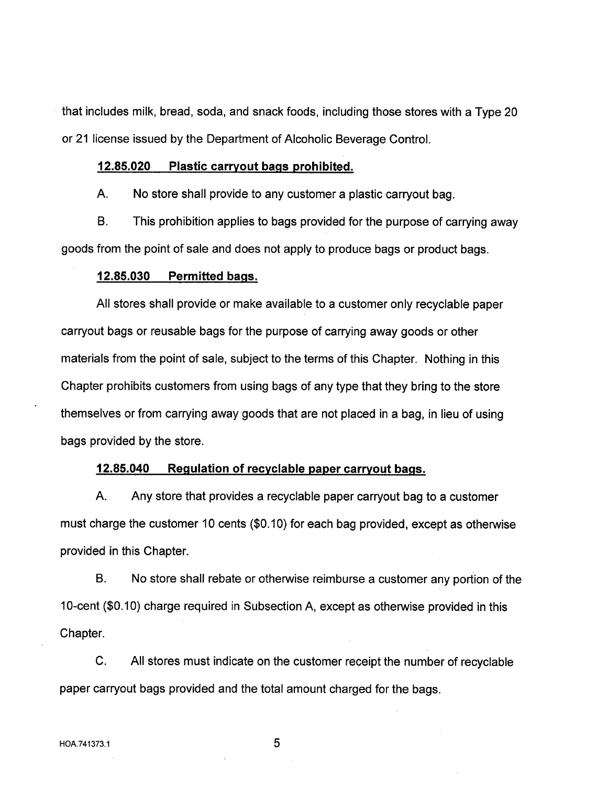that includes milk, bread, soda, and snack foods, including those stores with a Type 20 or 21 license issued by the Department of Alcoholic Beverage Control.

#### 12.85.020 Plastic carrvout bags prohibited.

A. No store shall provide to any customer a plastic carryout bag.

B. This prohibition applies to bags provided for the purpose of carrying away goods from the point of sale and does not apply to produce bags or product bags.

#### 12.85.030 Permitted bags.

All stores shall provide or make available to a customer only recyclable paper carryout bags or reusable bags for the purpose of carrying away goods or other materials from the point of sale, subject to the terms of this Chapter. Nothing in this Chapter prohibits customers from using bags of any type that they bring to the store themselves or from carrying away goods that are not placed in a bag, in lieu of using bags provided by the store.

## 12.85.040 Regulation of recyclable paper carrvout bags.

A. Any store that provides a recyclable paper carryout bag to a customer must charge the customer 10 cents  $(\$0.10)$  for each bag provided, except as otherwise provided in this Chapter.

B. No store shall rebate or otherwise reimburse a customer any portion of the 10-cent (\$0.10) charge required in Subsection A, except as otherwise provided in this Chapter.

C. All stores must indicate on the customer receipt the number of recyclable paper carryout bags provided and the total amount charged for the bags.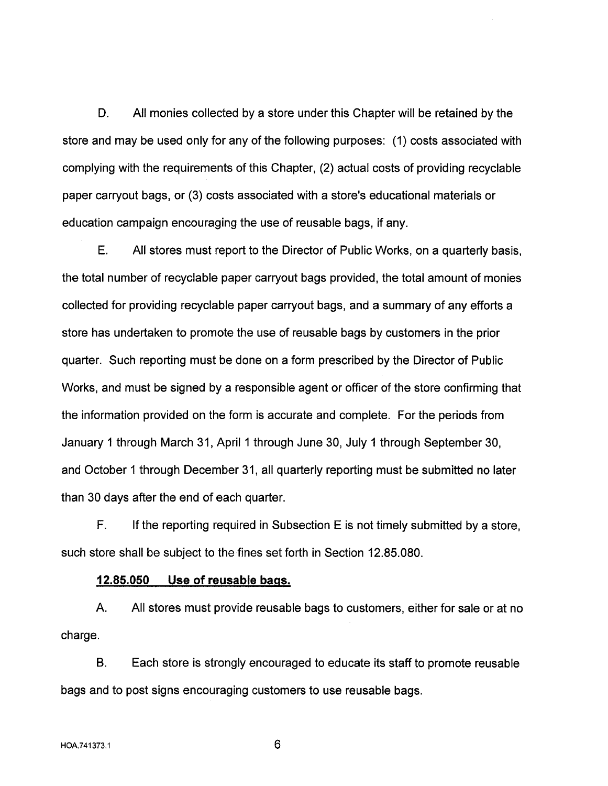D. All monies collected by a store under this Chapter will be retained by the store and may be used only for any of the following purposes: (1) costs associated with complying with the requirements of this Chapter, (2) actual costs of providing recyclable paper carryout bags, or (3) costs associated with a store's educational materials or education campaign encouraging the use of reusable bags, if any.

E. All stores must report to the Director of Public Works, on a quarterly basis, the total number of recyclable paper carryout bags provided, the total amount of monies collected for providing recyclable paper carryout bags, and a summary of any efforts a store has undertaken to promote the use of reusable bags by customers in the prior quarter. Such reporting must be done on a form prescribed by the Director of Public Works, and must be signed by a responsible agent or officer of the store confirming that the information provided on the form is accurate and complete. For the periods from January 1 through March 31, April 1 through June 30, July 1 through September 30, and October 1 through December 31, all quarterly reporting must be submitted no later than 30 days after the end of each quarter.

F. If the reporting required in Subsection E is not timely submitted by a store, such store shall be subject to the fines set forth in Section 12.85.080.

## 12.85.050 Use of reusable bags.

A. All stores must provide reusable bags to customers, either for sale or at no charge.

B. Each store is strongly encouraged to educate its staff to promote reusable bags and to post signs encouraging customers to use reusable bags.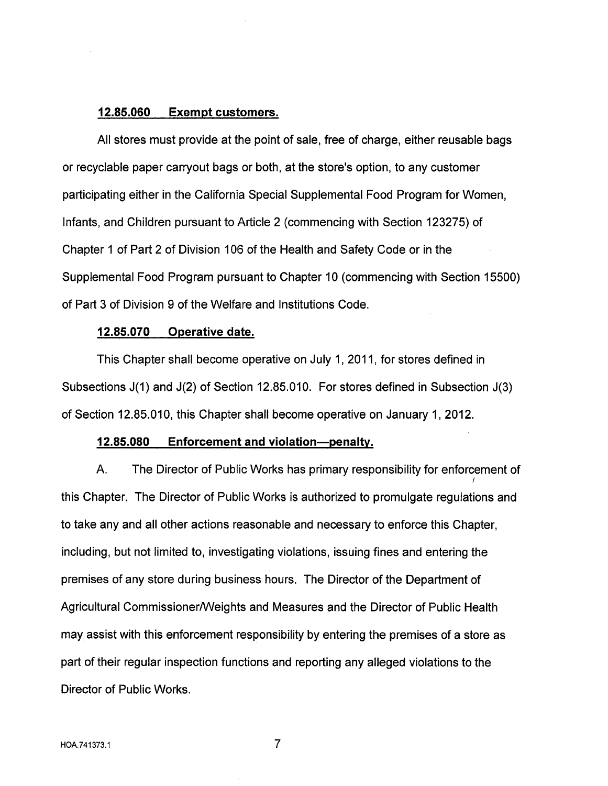## 12.85.060 Exempt customers.

All stores must provide at the point of sale, free of charge, either reusable bags or recyclable paper carryout bags or both, at the store's option, to any customer participating either in the California Special Supplemental Food Program for Women, Infants, and Children pursuant to Article 2 (commencing with Section 123275) of Chapter 1 of Part 2 of Division 106 of the Health and Safety Code or in the Supplemental Food Program pursuant to Chapter 10 (commencing with Section 15500) of Part 3 of Division 9 of the Welfare and Institutions Code.

#### 12.85.070 Operative date.

This Chapter shall become operative on July 1, 2011, for stores defined in Subsections J(1) and J(2) of Section 12.85.010. For stores defined in Subsection J(3) of Section 12.85.010, this Chapter shall become operative on January 1, 2012.

#### 12.85.080 Enforcement and violation-penalty.

A. The Director of Public Works has primary responsibility for enforcement of / this Chapter. The Director of Public Works is authorized to promulgate regulations and to take any and all other actions reasonable and necessary to enforce this Chapter, including, but not limited to, investigating violations, issuing fines and entering the premises of any store during business hours. The Director of the Department of Agricultural Commissioner/Weights and Measures and the Director of Public Health may assist with this enforcement responsibilty by entering the premises of a store as part of their regular inspection functions and reporting any alleged violations to the Director of Public Works.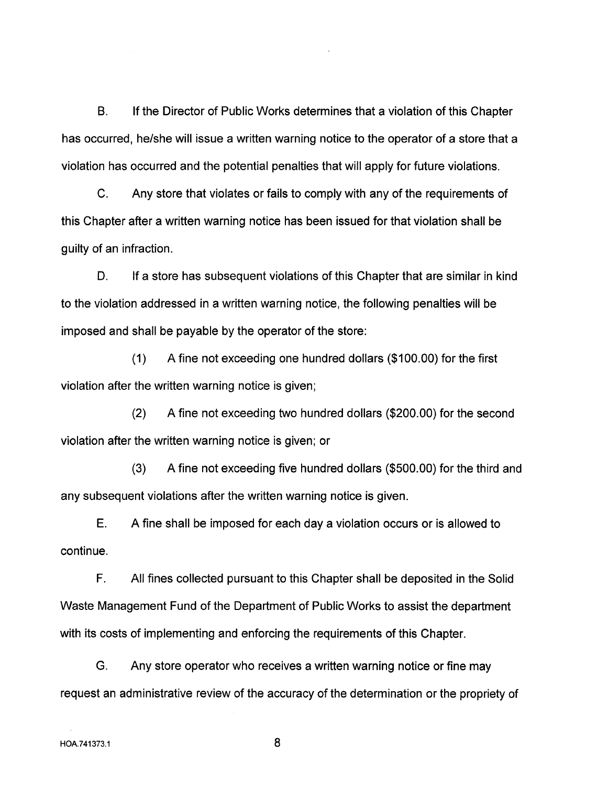B. If the Director of Public Works determines that a violation of this Chapter has occurred, he/she will issue a written warning notice to the operator of a store that a violation has occurred and the potential penalties that wil apply for future violations.

C. Any store that violates or fails to comply with any of the requirements of this Chapter after a written warning notice has been issued for that violation shall be guilty of an infraction.

D. If a store has subsequent violations of this Chapter that are similar in kind to the violation addressed in a written warning notice, the following penalties will be imposed and shall be payable by the operator of the store:

(1) A fine not exceeding one hundred dollars (\$100.00) for the first violation after the written warning notice is given;

(2) A fine not exceeding two hundred dollars (\$200.00) for the second violation after the written warning notice is given; or

(3) A fine not exceeding five hundred dollars (\$500.00) for the third and any subsequent violations after the written warning notice is given.

E. A fine shall be imposed for each day a violation occurs or is allowed to continue.

F. All fines collected pursuant to this Chapter shall be deposited in the Solid Waste Management Fund of the Department of Public Works to assist the department with its costs of implementing and enforcing the requirements of this Chapter.

G. Any store operator who receives a written warning notice or fine may request an administrative review of the accuracy of the determination or the propriety of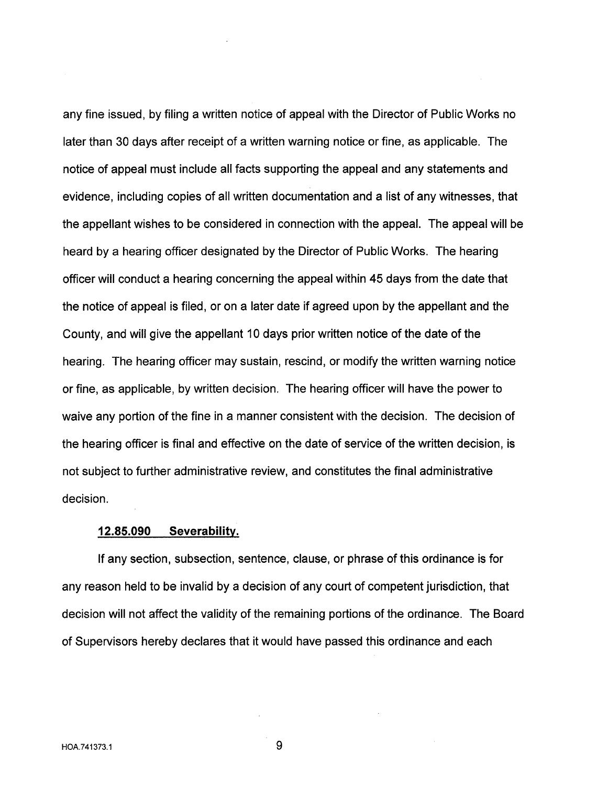any fine issued, by filing a written notice of appeal with the Director of Public Works no later than 30 days after receipt of a written warning notice or fine, as applicable. The notice of appeal must include all facts supporting the appeal and any statements and evidence, including copies of all written documentation and a list of any witnesses, that the appellant wishes to be considered in connection with the appeal. The appeal will be heard by a hearing officer designated by the Director of Public Works. The hearing officer will conduct a hearing concerning the appeal within 45 days from the date that the notice of appeal is filed, or on a later date if agreed upon by the appellant and the County, and will give the appellant 10 days prior written notice of the date of the hearing. The hearing officer may sustain, rescind, or modify the written warning notice or fine, as applicable, by written decision. The hearing officer will have the power to waive any portion of the fine in a manner consistent with the decision. The decision of the hearing officer is final and effective on the date of service of the written decision, is not subject to further administrative review, and constitutes the final administrative decision.

#### 12.85.090 Severabilty.

If any section, subsection, sentence, clause, or phrase of this ordinance is for any reason held to be invalid by a decision of any court of competent jurisdiction, that decision will not affect the validity of the remaining portions of the ordinance. The Board of Supervisors hereby declares that it would have passed this ordinance and each